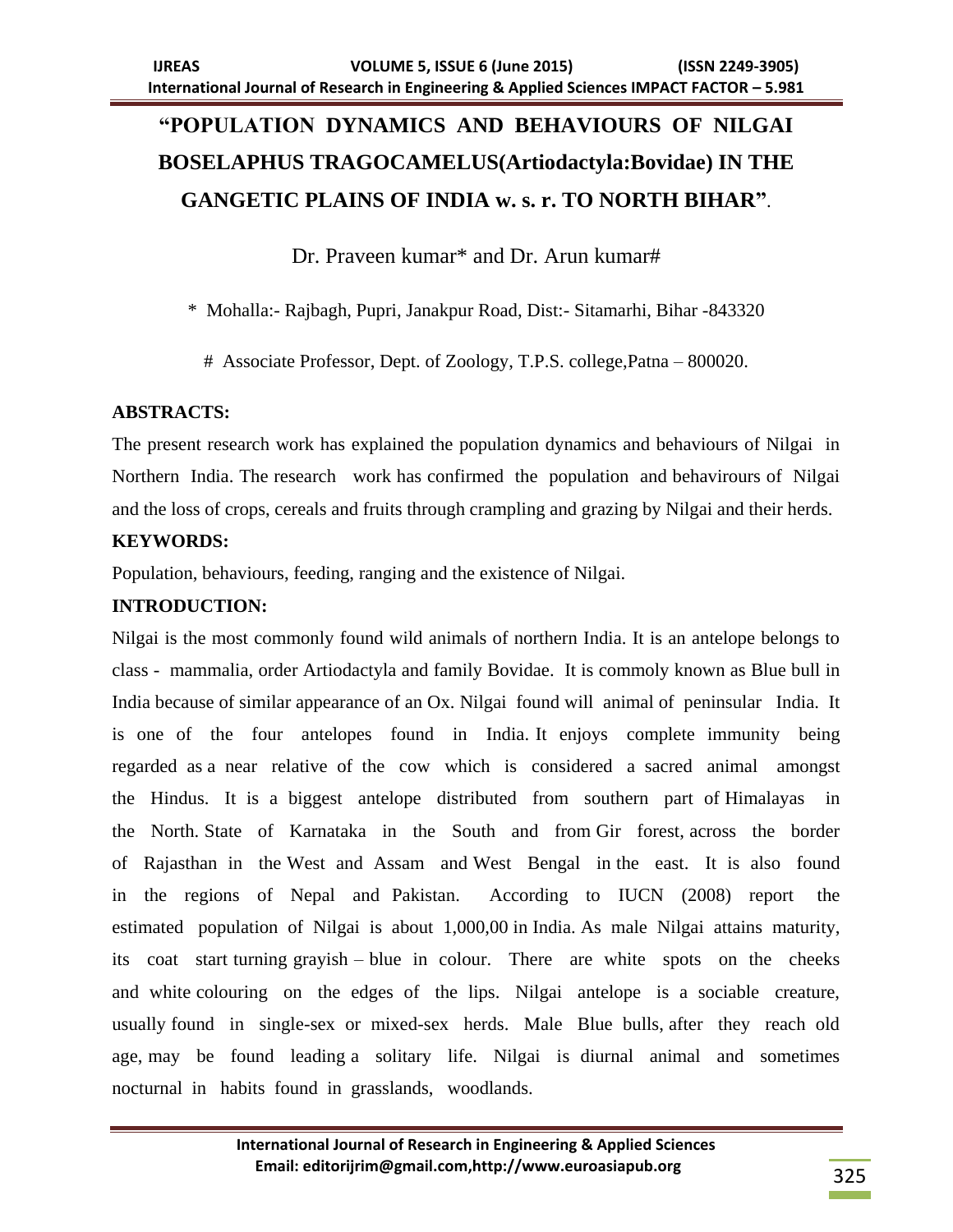# **"POPULATION DYNAMICS AND BEHAVIOURS OF NILGAI BOSELAPHUS TRAGOCAMELUS(Artiodactyla:Bovidae) IN THE GANGETIC PLAINS OF INDIA w. s. r. TO NORTH BIHAR"**.

Dr. Praveen kumar<sup>\*</sup> and Dr. Arun kumar#

\* Mohalla:- Rajbagh, Pupri, Janakpur Road, Dist:- Sitamarhi, Bihar -843320

# Associate Professor, Dept. of Zoology, T.P.S. college,Patna – 800020.

# **ABSTRACTS:**

The present research work has explained the population dynamics and behaviours of Nilgai in Northern India. The research work has confirmed the population and behavirours of Nilgai and the loss of crops, cereals and fruits through crampling and grazing by Nilgai and their herds.

# **KEYWORDS:**

Population, behaviours, feeding, ranging and the existence of Nilgai.

# **INTRODUCTION:**

Nilgai is the most commonly found wild animals of northern India. It is an antelope belongs to class - mammalia, order Artiodactyla and family Bovidae. It is commoly known as Blue bull in India because of similar appearance of an Ox. Nilgai found will animal of peninsular India. It is one of the four antelopes found in India. It enjoys complete immunity being regarded as a near relative of the cow which is considered a sacred animal amongst the Hindus. It is a biggest antelope distributed from southern part of Himalayas in the North. State of Karnataka in the South and from Gir forest, across the border of Rajasthan in the West and Assam and West Bengal in the east. It is also found in the regions of Nepal and Pakistan. According to IUCN (2008) report the estimated population of Nilgai is about 1,000,00 in India. As male Nilgai attains maturity, its coat start turning grayish – blue in colour. There are white spots on the cheeks and white colouring on the edges of the lips. Nilgai antelope is a sociable creature, usually found in single-sex or mixed-sex herds. Male Blue bulls, after they reach old age, may be found leading a solitary life. Nilgai is diurnal animal and sometimes nocturnal in habits found in grasslands, woodlands.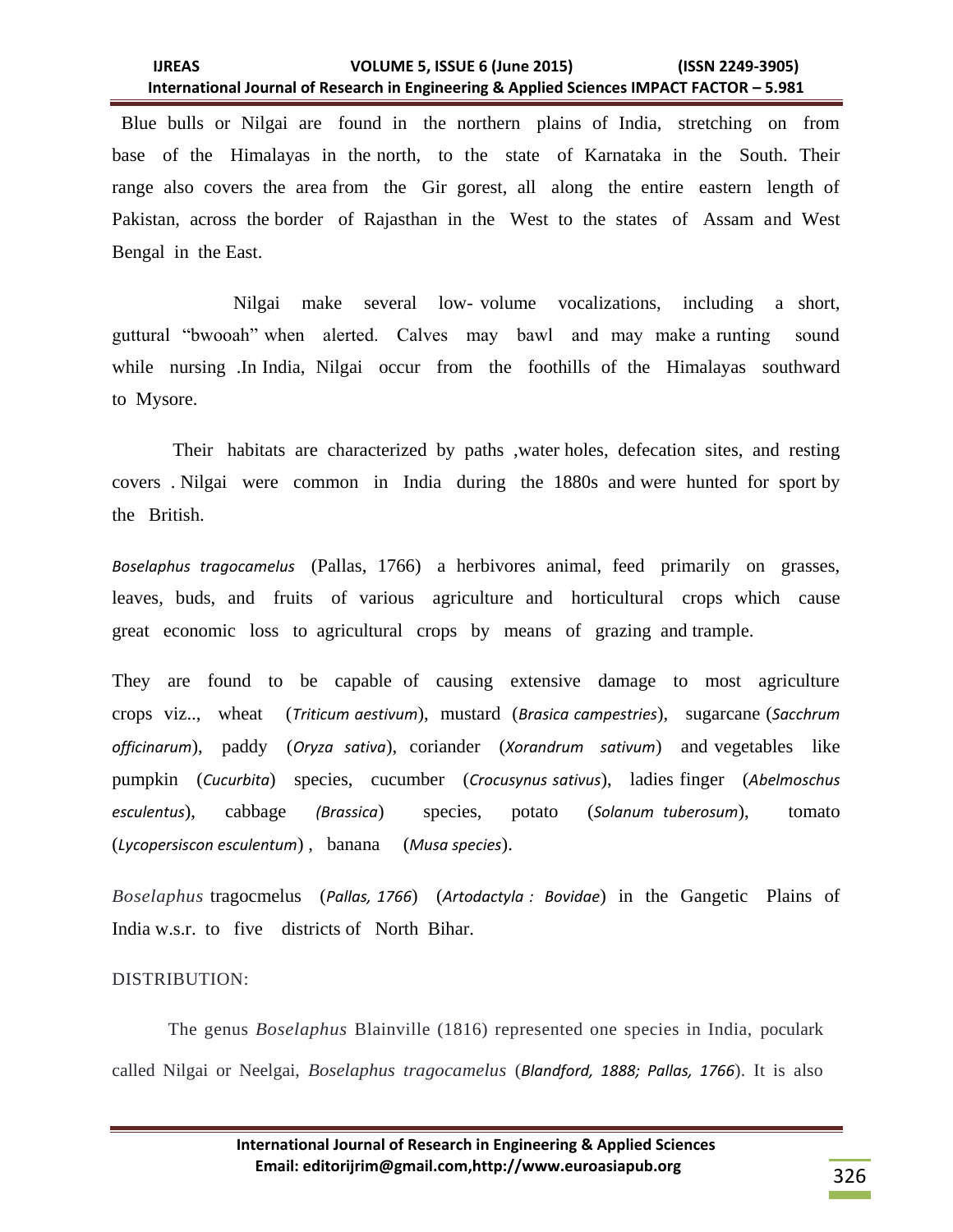### **IJREAS VOLUME 5, ISSUE 6 (June 2015) (ISSN 2249-3905) International Journal of Research in Engineering & Applied Sciences IMPACT FACTOR – 5.981**

 Blue bulls or Nilgai are found in the northern plains of India, stretching on from base of the Himalayas in the north, to the state of Karnataka in the South. Their range also covers the area from the Gir gorest, all along the entire eastern length of Pakistan, across the border of Rajasthan in the West to the states of Assam and West Bengal in the East.

 Nilgai make several low- volume vocalizations, including a short, guttural "bwooah" when alerted. Calves may bawl and may make a runting sound while nursing .In India, Nilgai occur from the foothills of the Himalayas southward to Mysore.

 Their habitats are characterized by paths ,water holes, defecation sites, and resting covers . Nilgai were common in India during the 1880s and were hunted for sport by the British.

*Boselaphus tragocamelus* (Pallas, 1766) a herbivores animal, feed primarily on grasses, leaves, buds, and fruits of various agriculture and horticultural crops which cause great economic loss to agricultural crops by means of grazing and trample.

They are found to be capable of causing extensive damage to most agriculture crops viz.., wheat (*Triticum aestivum*), mustard (*Brasica campestries*), sugarcane (*Sacchrum officinarum*), paddy (*Oryza sativa*), coriander (*Xorandrum sativum*) and vegetables like pumpkin (*Cucurbita*) species, cucumber (*Crocusynus sativus*), ladies finger (*Abelmoschus esculentus*), cabbage *(Brassica*) species, potato (*Solanum tuberosum*), tomato (*Lycopersiscon esculentum*) , banana (*Musa species*).

*Boselaphus* tragocmelus (*Pallas, 1766*) (*Artodactyla : Bovidae*) in the Gangetic Plains of India w.s.r. to five districts of North Bihar.

#### DISTRIBUTION:

The genus *Boselaphus* Blainville (1816) represented one species in India, poculark called Nilgai or Neelgai, *Boselaphus tragocamelus* (*Blandford, 1888; Pallas, 1766*). It is also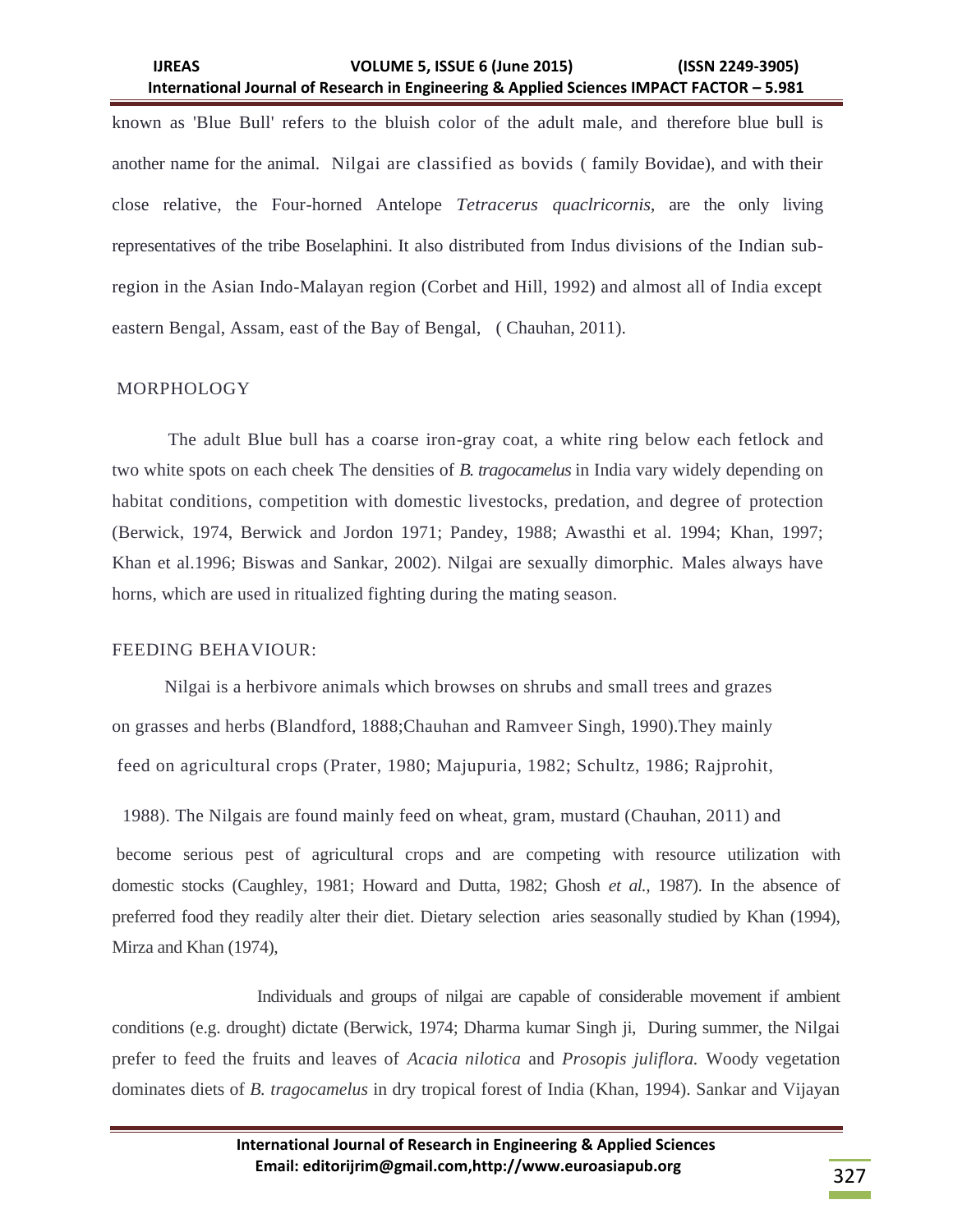**IJREAS VOLUME 5, ISSUE 6 (June 2015) (ISSN 2249-3905) International Journal of Research in Engineering & Applied Sciences IMPACT FACTOR – 5.981**

known as 'Blue Bull' refers to the bluish color of the adult male, and therefore blue bull is another name for the animal. Nilgai are classified as bovids ( family Bovidae), and with their close relative, the Four-horned Antelope *Tetracerus quaclricornis,* are the only living representatives of the tribe Boselaphini. It also distributed from Indus divisions of the Indian subregion in the Asian Indo-Malayan region (Corbet and Hill, 1992) and almost all of India except eastern Bengal, Assam, east of the Bay of Bengal, ( Chauhan, 2011).

#### MORPHOLOGY

The adult Blue bull has a coarse iron-gray coat, a white ring below each fetlock and two white spots on each cheek The densities of *B. tragocamelus* in India vary widely depending on habitat conditions, competition with domestic livestocks, predation, and degree of protection (Berwick, 1974, Berwick and Jordon 1971; Pandey, 1988; Awasthi et al. 1994; Khan, 1997; Khan et al.1996; Biswas and Sankar, 2002). Nilgai are sexually dimorphic. Males always have horns, which are used in ritualized fighting during the mating season.

#### FEEDING BEHAVIOUR:

 Nilgai is a herbivore animals which browses on shrubs and small trees and grazes on grasses and herbs (Blandford, 1888;Chauhan and Ramveer Singh, 1990).They mainly feed on agricultural crops (Prater, 1980; Majupuria, 1982; Schultz, 1986; Rajprohit,

1988). The Nilgais are found mainly feed on wheat, gram, mustard (Chauhan, 2011) and

become serious pest of agricultural crops and are competing with resource utilization with domestic stocks (Caughley, 1981; Howard and Dutta, 1982; Ghosh *et al.,* 1987). In the absence of preferred food they readily alter their diet. Dietary selection aries seasonally studied by Khan (1994), Mirza and Khan (1974),

 Individuals and groups of nilgai are capable of considerable movement if ambient conditions (e.g. drought) dictate (Berwick, 1974; Dharma kumar Singh ji, During summer, the Nilgai prefer to feed the fruits and leaves of *Acacia nilotica* and *Prosopis juliflora.* Woody vegetation dominates diets of *B. tragocamelus* in dry tropical forest of India (Khan, 1994). Sankar and Vijayan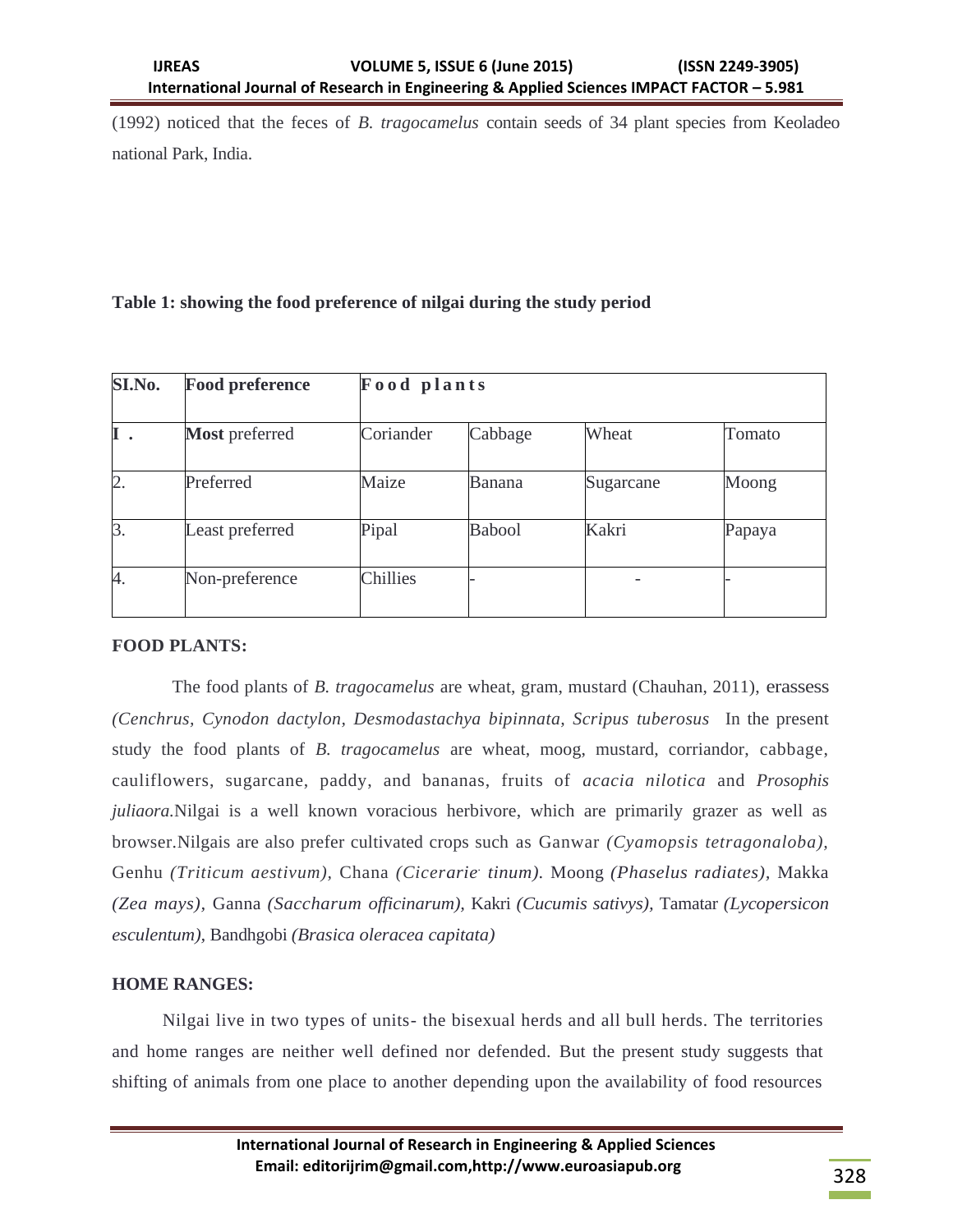(1992) noticed that the feces of *B. tragocamelus* contain seeds of 34 plant species from Keoladeo national Park, India.

## **Table 1: showing the food preference of nilgai during the study period**

| SI.No. | <b>Food preference</b> | Food plants |         |           |        |
|--------|------------------------|-------------|---------|-----------|--------|
| Ι.     | <b>Most</b> preferred  | Coriander   | Cabbage | Wheat     | Tomato |
| 2.     | Preferred              | Maize       | Banana  | Sugarcane | Moong  |
| 3.     | Least preferred        | Pipal       | Babool  | Kakri     | Papaya |
| 4.     | Non-preference         | Chillies    |         |           |        |

## **FOOD PLANTS:**

 The food plants of *B. tragocamelus* are wheat, gram, mustard (Chauhan, 2011), erassess *(Cenchrus, Cynodon dactylon, Desmodastachya bipinnata, Scripus tuberosus* In the present study the food plants of *B. tragocamelus* are wheat, moog, mustard, corriandor, cabbage, cauliflowers, sugarcane, paddy, and bananas, fruits of *acacia nilotica* and *Prosophis juliaora.*Nilgai is a well known voracious herbivore, which are primarily grazer as well as browser.Nilgais are also prefer cultivated crops such as Ganwar *(Cyamopsis tetragonaloba),*  Genhu *(Triticum aestivum),* Chana *(Cicerarie. tinum).* Moong *(Phaselus radiates),* Makka *(Zea mays),* Ganna *(Saccharum officinarum),* Kakri *(Cucumis sativys),* Tamatar *(Lycopersicon esculentum),* Bandhgobi *(Brasica oleracea capitata)* 

## **HOME RANGES:**

Nilgai live in two types of units- the bisexual herds and all bull herds. The territories and home ranges are neither well defined nor defended. But the present study suggests that shifting of animals from one place to another depending upon the availability of food resources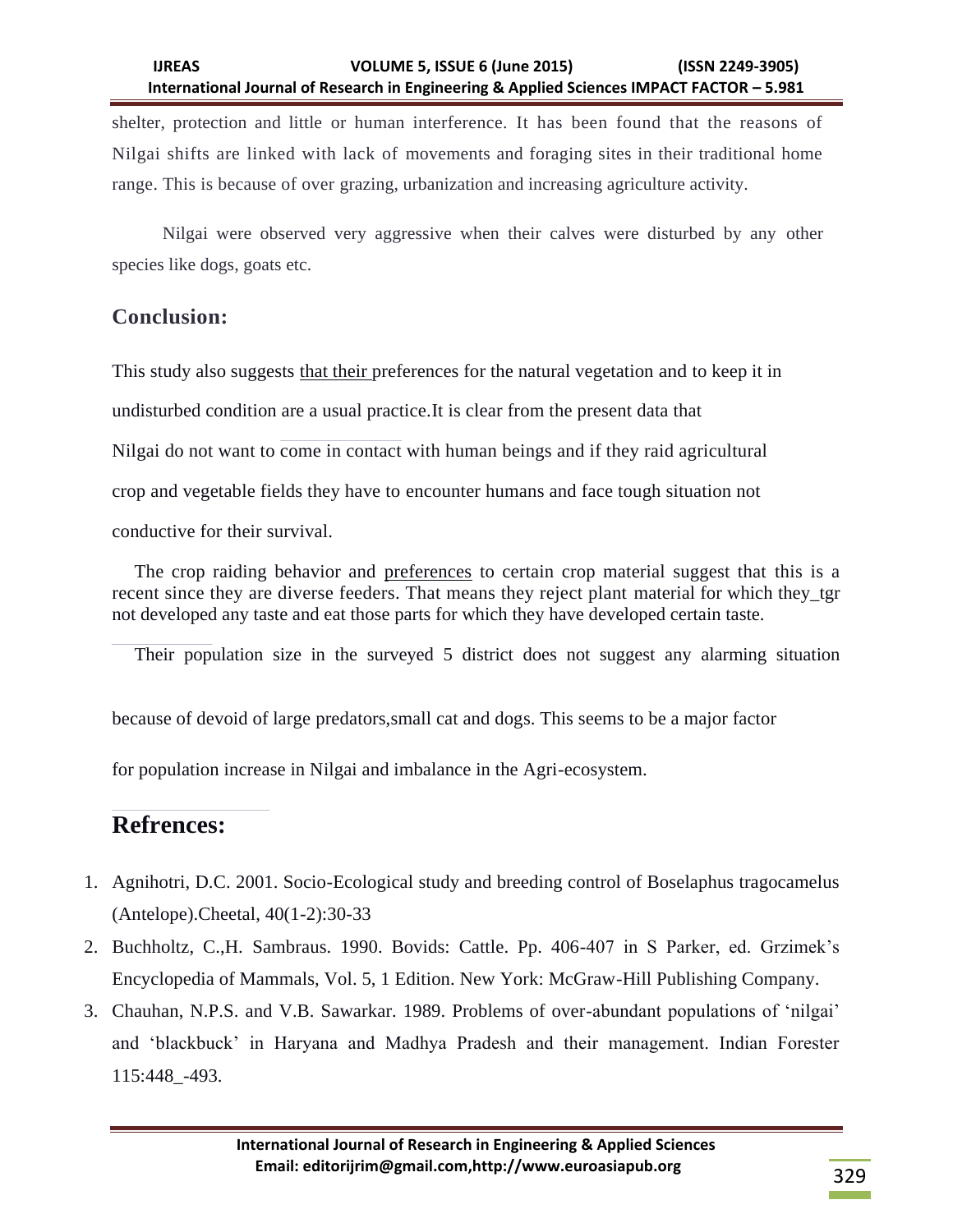## **IJREAS VOLUME 5, ISSUE 6 (June 2015) (ISSN 2249-3905) International Journal of Research in Engineering & Applied Sciences IMPACT FACTOR – 5.981**

shelter, protection and little or human interference. It has been found that the reasons of Nilgai shifts are linked with lack of movements and foraging sites in their traditional home range. This is because of over grazing, urbanization and increasing agriculture activity.

Nilgai were observed very aggressive when their calves were disturbed by any other species like dogs, goats etc.

# **Conclusion:**

This study also suggests that their preferences for the natural vegetation and to keep it in undisturbed condition are a usual practice.It is clear from the present data that Nilgai do not want to come in contact with human beings and if they raid agricultural crop and vegetable fields they have to encounter humans and face tough situation not conductive for their survival.

The crop raiding behavior and preferences to certain crop material suggest that this is a recent since they are diverse feeders. That means they reject plant material for which they\_tgr not developed any taste and eat those parts for which they have developed certain taste.

Their population size in the surveyed 5 district does not suggest any alarming situation

because of devoid of large predators,small cat and dogs. This seems to be a major factor

for population increase in Nilgai and imbalance in the Agri-ecosystem.

# **Refrences:**

- 1. Agnihotri, D.C. 2001. Socio-Ecological study and breeding control of Boselaphus tragocamelus (Antelope).Cheetal, 40(1-2):30-33
- 2. Buchholtz, C.,H. Sambraus. 1990. Bovids: Cattle. Pp. 406-407 in S Parker, ed. Grzimek"s Encyclopedia of Mammals, Vol. 5, 1 Edition. New York: McGraw-Hill Publishing Company.
- 3. Chauhan, N.P.S. and V.B. Sawarkar. 1989. Problems of over-abundant populations of "nilgai" and "blackbuck" in Haryana and Madhya Pradesh and their management. Indian Forester 115:448\_-493.